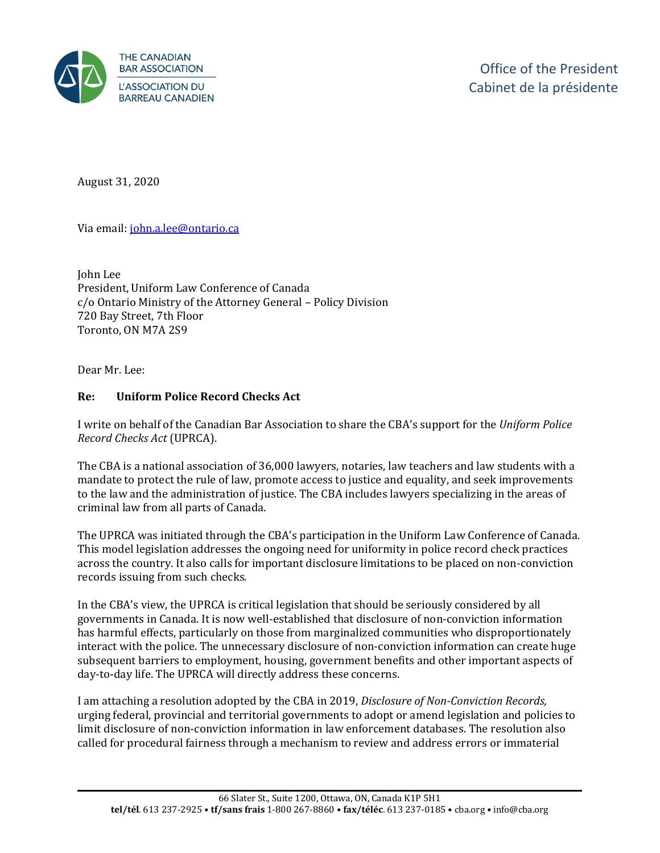

August 31, 2020

Via email[: john.a.lee@ontario.ca](mailto:john.a.lee@ontario.ca)

John Lee President, Uniform Law Conference of Canada c/o Ontario Ministry of the Attorney General – Policy Division 720 Bay Street, 7th Floor Toronto, ON M7A 2S9

Dear Mr. Lee:

### **Re: Uniform Police Record Checks Act**

I write on behalf of the Canadian Bar Association to share the CBA's support for the *Uniform Police Record Checks Act* (UPRCA).

The CBA is a national association of 36,000 lawyers, notaries, law teachers and law students with a mandate to protect the rule of law, promote access to justice and equality, and seek improvements to the law and the administration of justice. The CBA includes lawyers specializing in the areas of criminal law from all parts of Canada.

The UPRCA was initiated through the CBA's participation in the Uniform Law Conference of Canada. This model legislation addresses the ongoing need for uniformity in police record check practices across the country. It also calls for important disclosure limitations to be placed on non-conviction records issuing from such checks.

In the CBA's view, the UPRCA is critical legislation that should be seriously considered by all governments in Canada. It is now well-established that disclosure of non-conviction information has harmful effects, particularly on those from marginalized communities who disproportionately interact with the police. The unnecessary disclosure of non-conviction information can create huge subsequent barriers to employment, housing, government benefits and other important aspects of day-to-day life. The UPRCA will directly address these concerns.

I am attaching a resolution adopted by the CBA in 2019, *Disclosure of Non-Conviction Records,* urging federal, provincial and territorial governments to adopt or amend legislation and policies to limit disclosure of non-conviction information in law enforcement databases. The resolution also called for procedural fairness through a mechanism to review and address errors or immaterial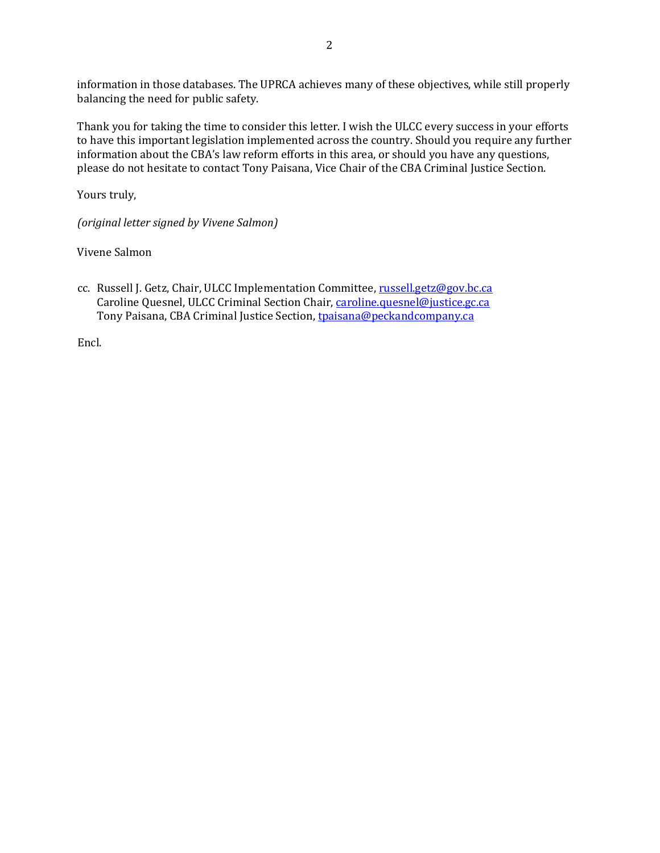information in those databases. The UPRCA achieves many of these objectives, while still properly balancing the need for public safety.

Thank you for taking the time to consider this letter. I wish the ULCC every success in your efforts to have this important legislation implemented across the country. Should you require any further information about the CBA's law reform efforts in this area, or should you have any questions, please do not hesitate to contact Tony Paisana, Vice Chair of the CBA Criminal Justice Section.

Yours truly,

*(original letter signed by Vivene Salmon)*

Vivene Salmon

cc. Russell J. Getz, Chair, ULCC Implementation Committee, russell.getz@gov.bc.ca Caroline Quesnel, ULCC Criminal Section Chair, caroline.quesnel@justice.gc.ca Tony Paisana, CBA Criminal Justice Section, tpaisana@[peckandcompany.ca](mailto:russell.getz@gov.bc.ca)

Encl.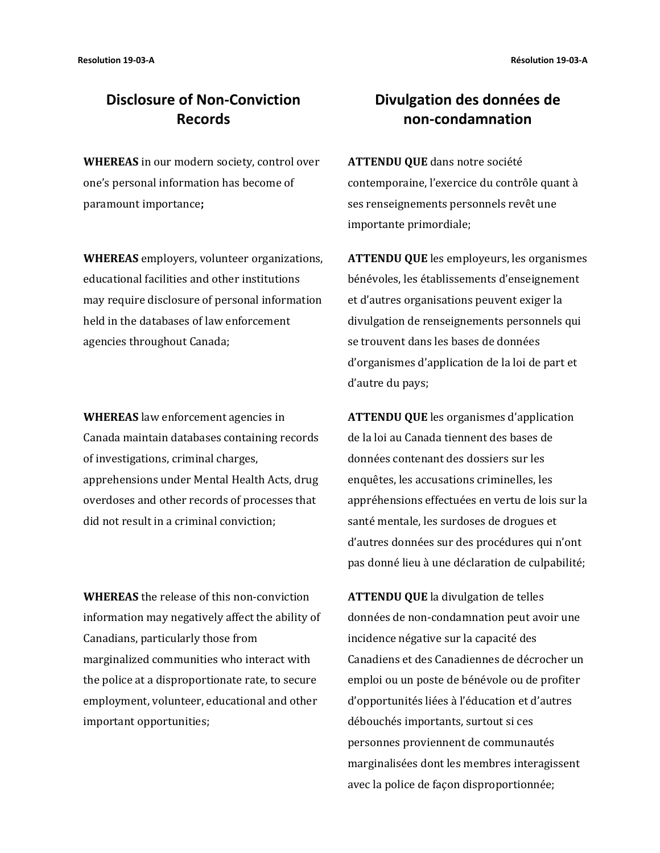# **Disclosure of Non-Conviction Records**

**WHEREAS** in our modern society, control over one's personal information has become of paramount importance**;** 

**WHEREAS** employers, volunteer organizations, educational facilities and other institutions may require disclosure of personal information held in the databases of law enforcement agencies throughout Canada;

**WHEREAS** law enforcement agencies in Canada maintain databases containing records of investigations, criminal charges, apprehensions under Mental Health Acts, drug overdoses and other records of processes that did not result in a criminal conviction;

**WHEREAS** the release of this non-conviction information may negatively affect the ability of Canadians, particularly those from marginalized communities who interact with the police at a disproportionate rate, to secure employment, volunteer, educational and other important opportunities;

# **Divulgation des données de non-condamnation**

**ATTENDU QUE** dans notre société contemporaine, l'exercice du contrôle quant à ses renseignements personnels revêt une importante primordiale;

**ATTENDU QUE** les employeurs, les organismes bénévoles, les établissements d'enseignement et d'autres organisations peuvent exiger la divulgation de renseignements personnels qui se trouvent dans les bases de données d'organismes d'application de la loi de part et d'autre du pays;

**ATTENDU QUE** les organismes d'application de la loi au Canada tiennent des bases de données contenant des dossiers sur les enquêtes, les accusations criminelles, les appréhensions effectuées en vertu de lois sur la santé mentale, les surdoses de drogues et d'autres données sur des procédures qui n'ont pas donné lieu à une déclaration de culpabilité;

**ATTENDU QUE** la divulgation de telles données de non-condamnation peut avoir une incidence négative sur la capacité des Canadiens et des Canadiennes de décrocher un emploi ou un poste de bénévole ou de profiter d'opportunités liées à l'éducation et d'autres débouchés importants, surtout si ces personnes proviennent de communautés marginalisées dont les membres interagissent avec la police de façon disproportionnée;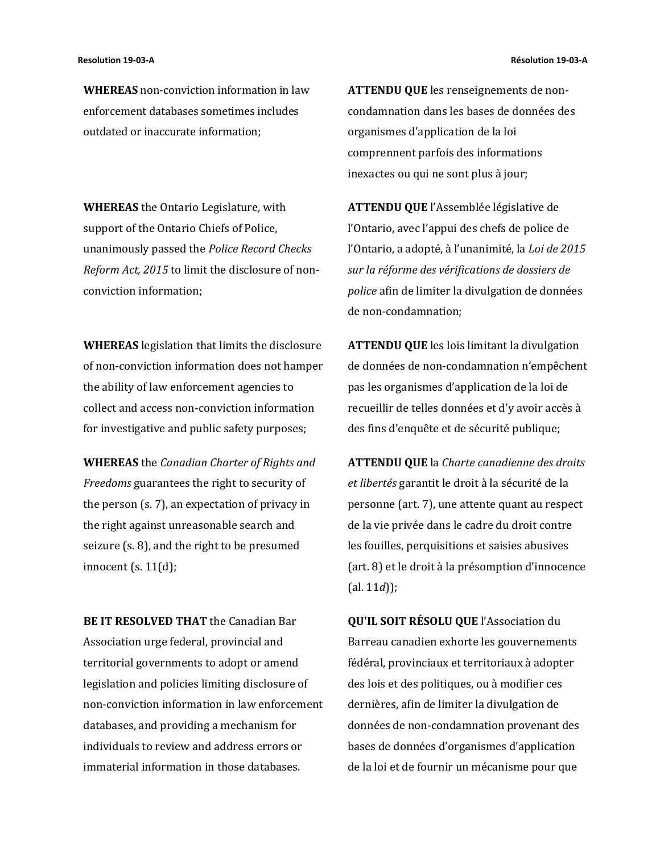**WHEREAS** non-conviction information in law enforcement databases sometimes includes outdated or inaccurate information;

**WHEREAS** the Ontario Legislature, with support of the Ontario Chiefs of Police, unanimously passed the *Police Record Checks Reform Act, 2015* to limit the disclosure of nonconviction information;

**WHEREAS** legislation that limits the disclosure of non-conviction information does not hamper the ability of law enforcement agencies to collect and access non-conviction information for investigative and public safety purposes;

**WHEREAS** the *Canadian Charter of Rights and Freedoms* guarantees the right to security of the person (s. 7), an expectation of privacy in the right against unreasonable search and seizure (s. 8), and the right to be presumed innocent (s. 11(d);

**BE IT RESOLVED THAT** the Canadian Bar Association urge federal, provincial and territorial governments to adopt or amend legislation and policies limiting disclosure of non-conviction information in law enforcement databases, and providing a mechanism for individuals to review and address errors or immaterial information in those databases.

**ATTENDU QUE** les renseignements de noncondamnation dans les bases de données des organismes d'application de la loi comprennent parfois des informations inexactes ou qui ne sont plus à jour;

**ATTENDU QUE** l'Assemblée législative de l'Ontario, avec l'appui des chefs de police de l'Ontario, a adopté, à l'unanimité, la *Loi de 2015 sur la réforme des vérifications de dossiers de police* afin de limiter la divulgation de données de non-condamnation;

**ATTENDU QUE** les lois limitant la divulgation de données de non-condamnation n'empêchent pas les organismes d'application de la loi de recueillir de telles données et d'y avoir accès à des fins d'enquête et de sécurité publique;

**ATTENDU QUE** la *Charte canadienne des droits et libertés* garantit le droit à la sécurité de la personne (art. 7), une attente quant au respect de la vie privée dans le cadre du droit contre les fouilles, perquisitions et saisies abusives (art. 8) et le droit à la présomption d'innocence (al. 11*d*));

**QU'IL SOIT RÉSOLU QUE** l'Association du Barreau canadien exhorte les gouvernements fédéral, provinciaux et territoriaux à adopter des lois et des politiques, ou à modifier ces dernières, afin de limiter la divulgation de données de non-condamnation provenant des bases de données d'organismes d'application de la loi et de fournir un mécanisme pour que